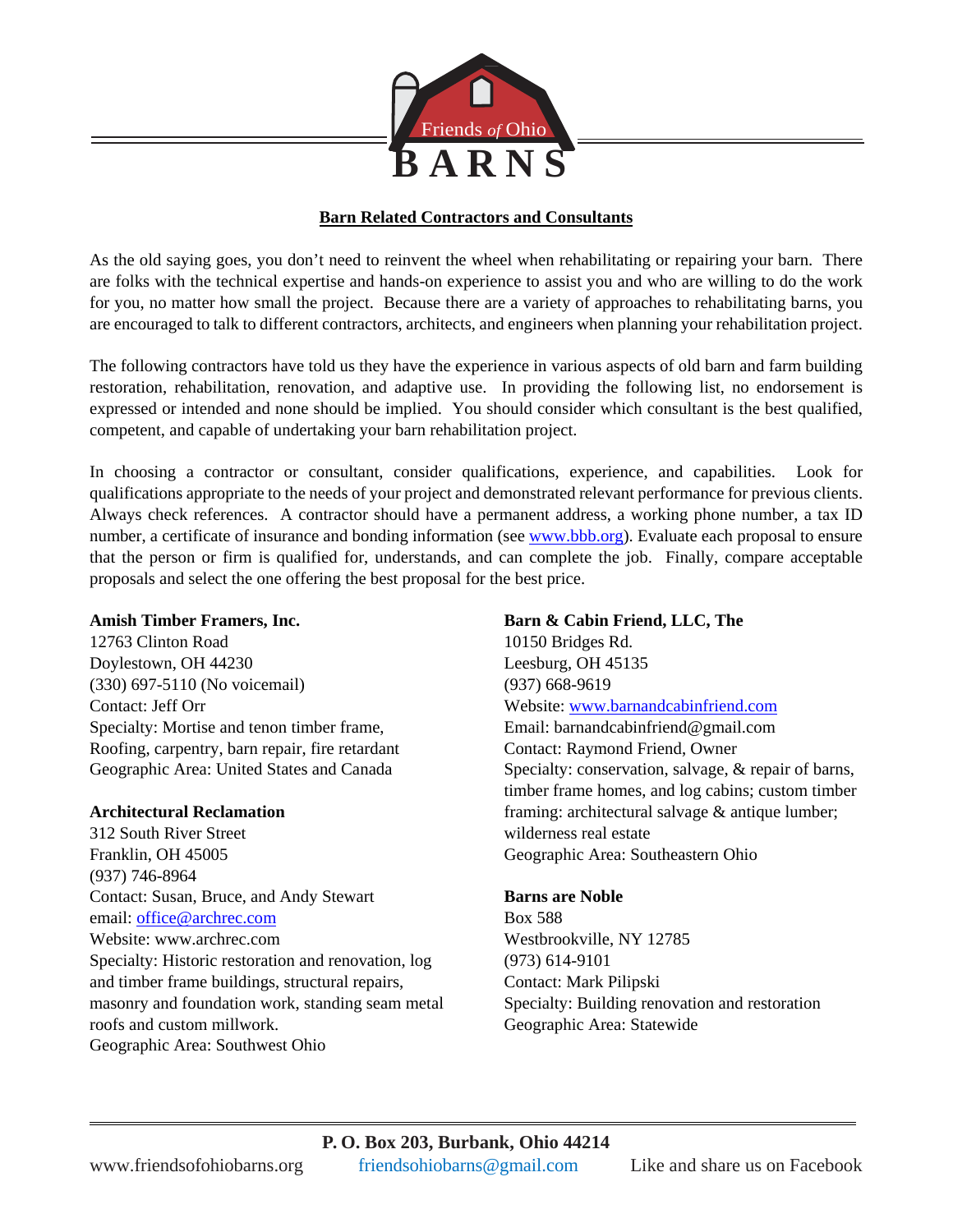

# **Barn Related Contractors and Consultants**

As the old saying goes, you don't need to reinvent the wheel when rehabilitating or repairing your barn. There are folks with the technical expertise and hands-on experience to assist you and who are willing to do the work for you, no matter how small the project. Because there are a variety of approaches to rehabilitating barns, you are encouraged to talk to different contractors, architects, and engineers when planning your rehabilitation project.

The following contractors have told us they have the experience in various aspects of old barn and farm building restoration, rehabilitation, renovation, and adaptive use. In providing the following list, no endorsement is expressed or intended and none should be implied. You should consider which consultant is the best qualified, competent, and capable of undertaking your barn rehabilitation project.

In choosing a contractor or consultant, consider qualifications, experience, and capabilities. Look for qualifications appropriate to the needs of your project and demonstrated relevant performance for previous clients. Always check references. A contractor should have a permanent address, a working phone number, a tax ID number, a certificate of insurance and bonding information (see [www.bbb.org\)](http://www.bbb.org/). Evaluate each proposal to ensure that the person or firm is qualified for, understands, and can complete the job. Finally, compare acceptable proposals and select the one offering the best proposal for the best price.

### **Amish Timber Framers, Inc.**

12763 Clinton Road Doylestown, OH 44230 (330) 697-5110 (No voicemail) Contact: Jeff Orr Specialty: Mortise and tenon timber frame, Roofing, carpentry, barn repair, fire retardant Geographic Area: United States and Canada

### **Architectural Reclamation**

312 South River Street Franklin, OH 45005 (937) 746-8964 Contact: Susan, Bruce, and Andy Stewart email: [office@archrec.com](mailto:office@archrec.com) Website: www.archrec.com Specialty: Historic restoration and renovation, log and timber frame buildings, structural repairs, masonry and foundation work, standing seam metal roofs and custom millwork. Geographic Area: Southwest Ohio

# **Barn & Cabin Friend, LLC, The**

10150 Bridges Rd. Leesburg, OH 45135 (937) 668-9619 Website: [www.barnandcabinfriend.com](http://www.barnandcabinfriend.com/) Email: barnandcabinfriend@gmail.com Contact: Raymond Friend, Owner Specialty: conservation, salvage, & repair of barns, timber frame homes, and log cabins; custom timber framing: architectural salvage & antique lumber; wilderness real estate Geographic Area: Southeastern Ohio

### **Barns are Noble**

Box 588 Westbrookville, NY 12785 (973) 614-9101 Contact: Mark Pilipski Specialty: Building renovation and restoration Geographic Area: Statewide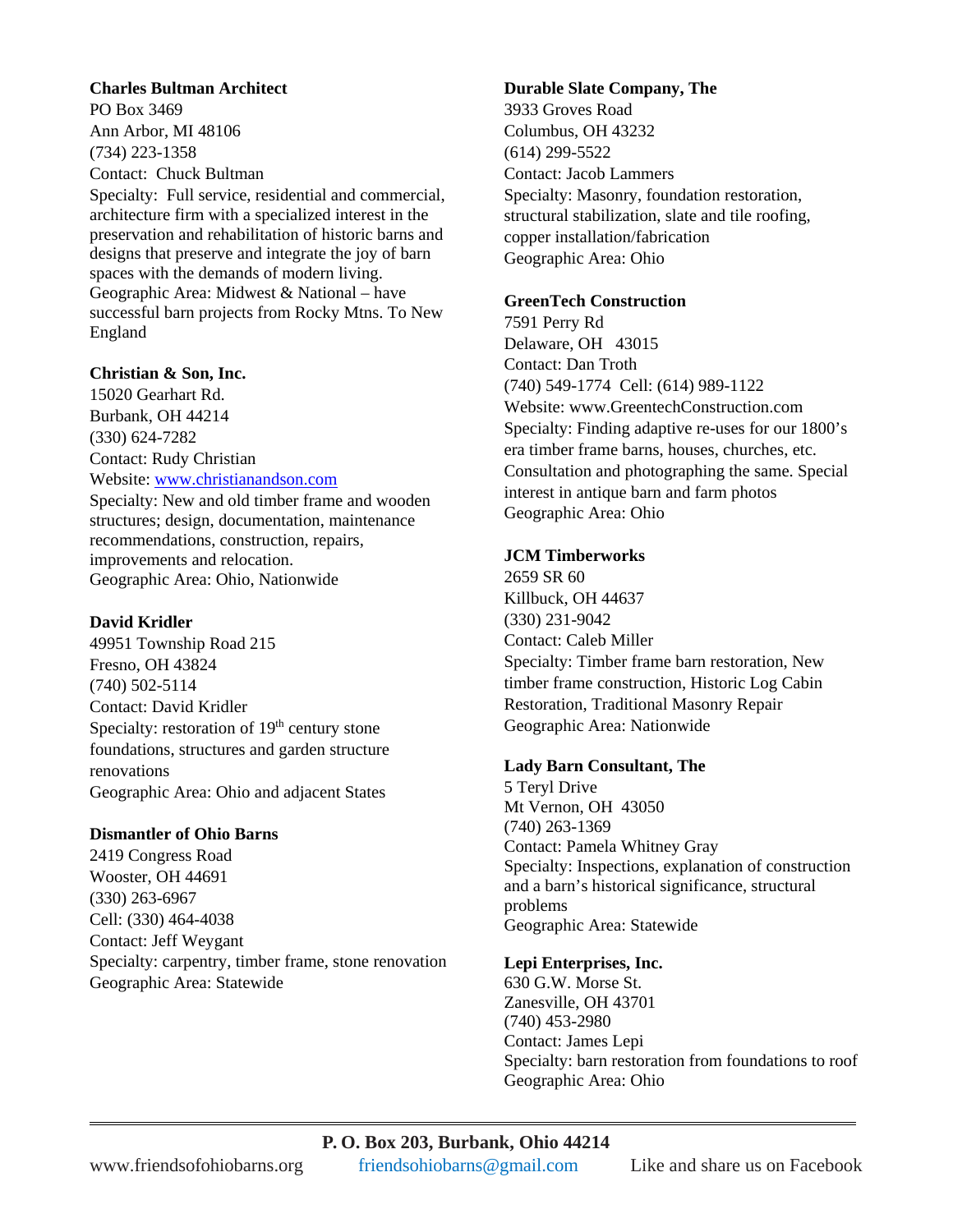#### **Charles Bultman Architect**

PO Box 3469 Ann Arbor, MI 48106 (734) 223-1358 Contact: Chuck Bultman

Specialty: Full service, residential and commercial, architecture firm with a specialized interest in the preservation and rehabilitation of historic barns and designs that preserve and integrate the joy of barn spaces with the demands of modern living. Geographic Area: Midwest & National – have successful barn projects from Rocky Mtns. To New England

#### **Christian & Son, Inc.**

15020 Gearhart Rd. Burbank, OH 44214 (330) 624-7282 Contact: Rudy Christian Website: [www.christianandson.com](http://www.christianandson.com/) Specialty: New and old timber frame and wooden structures; design, documentation, maintenance recommendations, construction, repairs, improvements and relocation. Geographic Area: Ohio, Nationwide

#### **David Kridler**

49951 Township Road 215 Fresno, OH 43824 (740) 502-5114 Contact: David Kridler Specialty: restoration of  $19<sup>th</sup>$  century stone foundations, structures and garden structure renovations Geographic Area: Ohio and adjacent States

### **Dismantler of Ohio Barns**

2419 Congress Road Wooster, OH 44691 (330) 263-6967 Cell: (330) 464-4038 Contact: Jeff Weygant Specialty: carpentry, timber frame, stone renovation Geographic Area: Statewide

#### **Durable Slate Company, The**

3933 Groves Road Columbus, OH 43232 (614) 299-5522 Contact: Jacob Lammers Specialty: Masonry, foundation restoration, structural stabilization, slate and tile roofing, copper installation/fabrication Geographic Area: Ohio

#### **GreenTech Construction**

7591 Perry Rd Delaware, OH 43015 Contact: Dan Troth (740) 549-1774 Cell: (614) 989-1122 Website: www.GreentechConstruction.com Specialty: Finding adaptive re-uses for our 1800's era timber frame barns, houses, churches, etc. Consultation and photographing the same. Special interest in antique barn and farm photos Geographic Area: Ohio

### **JCM Timberworks**

2659 SR 60 Killbuck, OH 44637 (330) 231-9042 Contact: Caleb Miller Specialty: Timber frame barn restoration, New timber frame construction, Historic Log Cabin Restoration, Traditional Masonry Repair Geographic Area: Nationwide

#### **Lady Barn Consultant, The**

5 Teryl Drive Mt Vernon, OH 43050 (740) 263-1369 Contact: Pamela Whitney Gray Specialty: Inspections, explanation of construction and a barn's historical significance, structural problems Geographic Area: Statewide

### **Lepi Enterprises, Inc.**

630 G.W. Morse St. Zanesville, OH 43701 (740) 453-2980 Contact: James Lepi Specialty: barn restoration from foundations to roof Geographic Area: Ohio